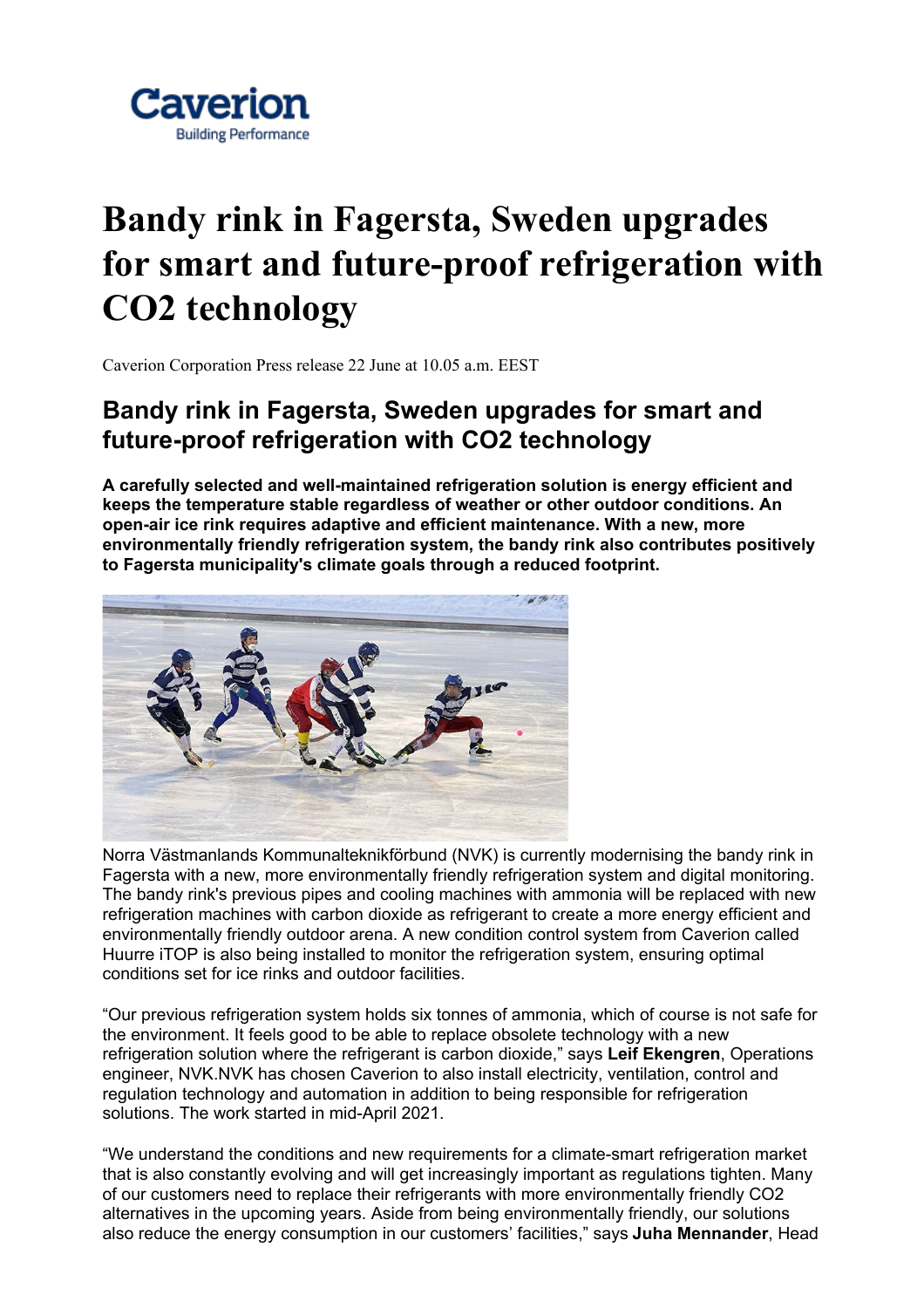

## **Bandy rink in Fagersta, Sweden upgrades for smart and future-proof refrigeration with CO2 technology**

Caverion Corporation Press release 22 June at 10.05 a.m. EEST

## **Bandy rink in Fagersta, Sweden upgrades for smart and future-proof refrigeration with CO2 technology**

**A carefully selected and well-maintained refrigeration solution is energy efficient and keeps the temperature stable regardless of weather or other outdoor conditions. An open-air ice rink requires adaptive and efficient maintenance. With a new, more environmentally friendly refrigeration system, the bandy rink also contributes positively to Fagersta municipality's climate goals through a reduced footprint.**



Norra Västmanlands Kommunalteknikförbund (NVK) is currently modernising the bandy rink in Fagersta with a new, more environmentally friendly refrigeration system and digital monitoring. The bandy rink's previous pipes and cooling machines with ammonia will be replaced with new refrigeration machines with carbon dioxide as refrigerant to create a more energy efficient and environmentally friendly outdoor arena. A new condition control system from Caverion called Huurre iTOP is also being installed to monitor the refrigeration system, ensuring optimal conditions set for ice rinks and outdoor facilities.

"Our previous refrigeration system holds six tonnes of ammonia, which of course is not safe for the environment. It feels good to be able to replace obsolete technology with a new refrigeration solution where the refrigerant is carbon dioxide," says **Leif Ekengren**, Operations engineer, NVK.NVK has chosen Caverion to also install electricity, ventilation, control and regulation technology and automation in addition to being responsible for refrigeration solutions. The work started in mid-April 2021.

"We understand the conditions and new requirements for a climate-smart refrigeration market that is also constantly evolving and will get increasingly important as regulations tighten. Many of our customers need to replace their refrigerants with more environmentally friendly CO2 alternatives in the upcoming years. Aside from being environmentally friendly, our solutions also reduce the energy consumption in our customers' facilities," says **Juha Mennander**, Head